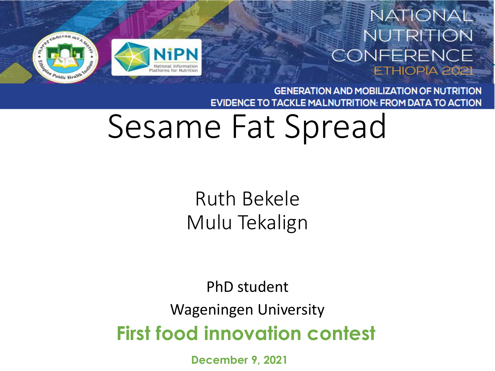

#### NATIONAL **NUTRITION** CONFERENCE ETHIOPIA 2021

**GENERATION AND MOBILIZATION OF NUTRITION** TACKLE MALNUTRITION: FROM DATA TO ACTION **EVIDENCE TO** 

## Sesame Fat Spread

Ruth Bekele Mulu Tekalign

**First food innovation contest**  PhD student Wageningen University

**December 9, 2021**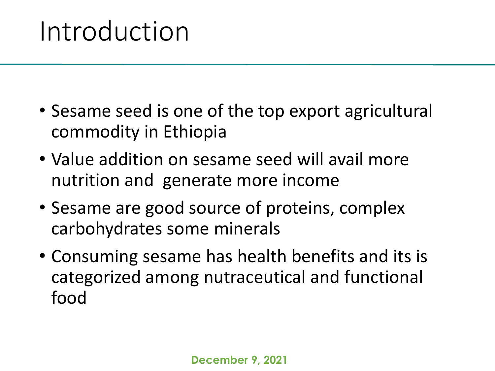#### Introduction

- Sesame seed is one of the top export agricultural commodity in Ethiopia
- Value addition on sesame seed will avail more nutrition and generate more income
- Sesame are good source of proteins, complex carbohydrates some minerals
- Consuming sesame has health benefits and its is categorized among nutraceutical and functional food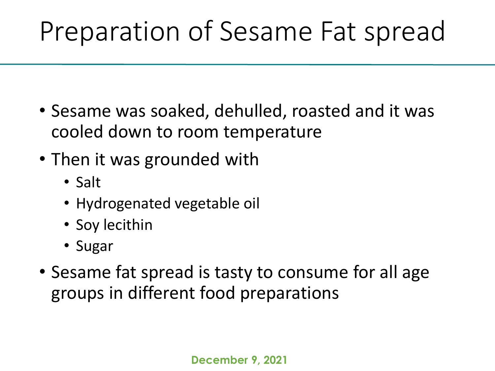### Preparation of Sesame Fat spread

- Sesame was soaked, dehulled, roasted and it was cooled down to room temperature
- Then it was grounded with
	- Salt
	- Hydrogenated vegetable oil
	- Soy lecithin
	- Sugar
- Sesame fat spread is tasty to consume for all age groups in different food preparations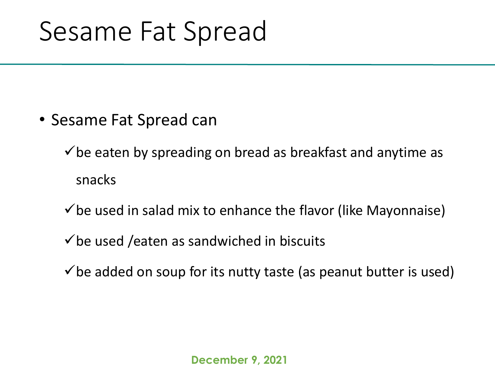#### Sesame Fat Spread

• Sesame Fat Spread can

 $\checkmark$  be eaten by spreading on bread as breakfast and anytime as snacks

- $\checkmark$  be used in salad mix to enhance the flavor (like Mayonnaise)
- $\checkmark$  be used /eaten as sandwiched in biscuits
- $\checkmark$  be added on soup for its nutty taste (as peanut butter is used)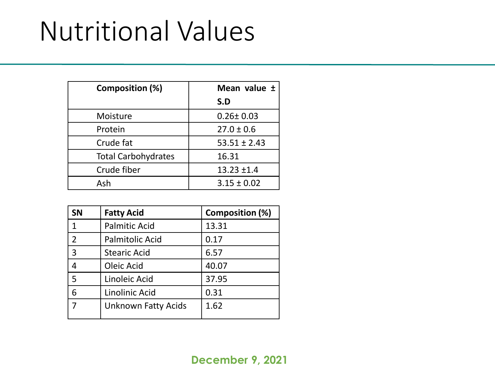### Nutritional Values

| Composition (%)            | Mean value ±     |
|----------------------------|------------------|
|                            | S.D              |
| Moisture                   | $0.26 \pm 0.03$  |
| Protein                    | $27.0 \pm 0.6$   |
| Crude fat                  | $53.51 \pm 2.43$ |
| <b>Total Carbohydrates</b> | 16.31            |
| Crude fiber                | $13.23 \pm 1.4$  |
| Ash                        | $3.15 \pm 0.02$  |

| <b>SN</b>      | <b>Fatty Acid</b>          | <b>Composition (%)</b> |
|----------------|----------------------------|------------------------|
| $\mathbf{1}$   | <b>Palmitic Acid</b>       | 13.31                  |
| $\overline{2}$ | <b>Palmitolic Acid</b>     | 0.17                   |
| 3              | <b>Stearic Acid</b>        | 6.57                   |
| 4              | Oleic Acid                 | 40.07                  |
| 5              | Linoleic Acid              | 37.95                  |
| 6              | Linolinic Acid             | 0.31                   |
|                | <b>Unknown Fatty Acids</b> | 1.62                   |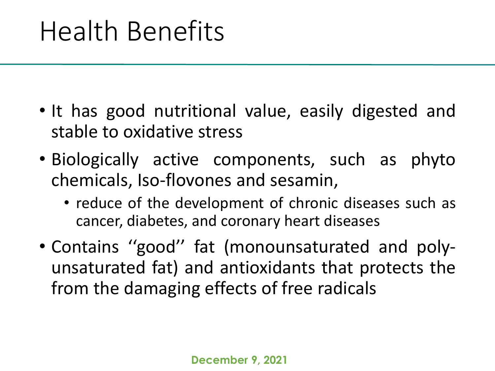#### Health Benefits

- It has good nutritional value, easily digested and stable to oxidative stress
- Biologically active components, such as phyto chemicals, Iso-flovones and sesamin,
	- reduce of the development of chronic diseases such as cancer, diabetes, and coronary heart diseases
- Contains ''good'' fat (monounsaturated and polyunsaturated fat) and antioxidants that protects the from the damaging effects of free radicals